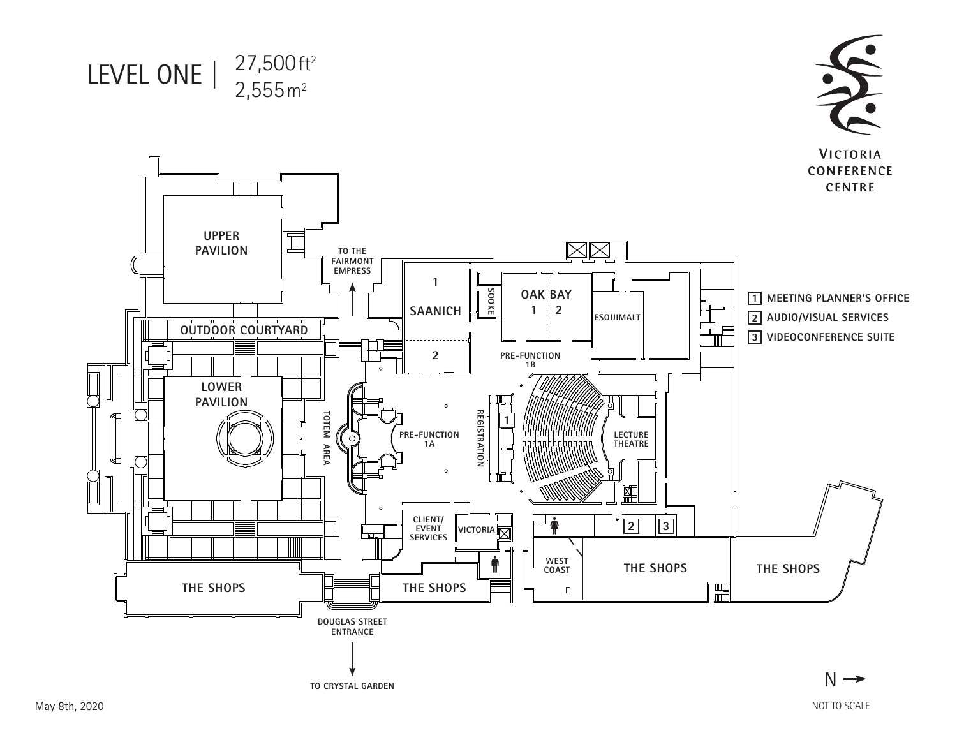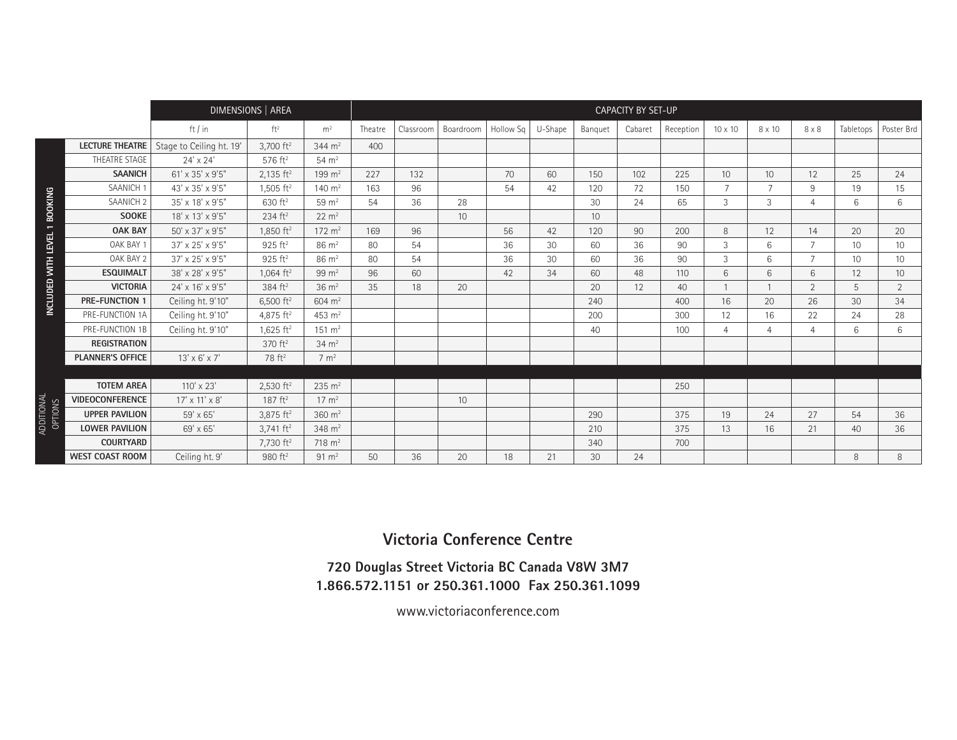|                       |                         |                                                                | DIMENSIONS   AREA       |                       | <b>CAPACITY BY SET-UP</b> |           |                 |           |         |                 |         |           |                 |                 |                |                 |                 |
|-----------------------|-------------------------|----------------------------------------------------------------|-------------------------|-----------------------|---------------------------|-----------|-----------------|-----------|---------|-----------------|---------|-----------|-----------------|-----------------|----------------|-----------------|-----------------|
|                       |                         | ft / in                                                        | ft <sup>2</sup>         | m <sup>2</sup>        | Theatre                   | Classroom | Boardroom       | Hollow Sq | U-Shape | Banguet         | Cabaret | Reception | $10 \times 10$  | 8 x 10          | $8 \times 8$   | Tabletops       | Poster Brd      |
|                       | <b>LECTURE THEATRE</b>  | Stage to Ceiling ht. 19'                                       | 3,700 $ft^2$            | $344 \text{ m}^2$     | 400                       |           |                 |           |         |                 |         |           |                 |                 |                |                 |                 |
|                       | THEATRE STAGE           | $24' \times 24'$                                               | 576 ft <sup>2</sup>     | $54 \text{ m}^2$      |                           |           |                 |           |         |                 |         |           |                 |                 |                |                 |                 |
|                       | <b>SAANICH</b>          | 61' x 35' x 9'5"                                               | $2,135$ ft <sup>2</sup> | $199 \; \mathrm{m}^2$ | 227                       | 132       |                 | 70        | 60      | 150             | 102     | 225       | 10 <sup>°</sup> | 10 <sup>°</sup> | 12             | 25              | 24              |
|                       | SAANICH <sub>1</sub>    | 43' x 35' x 9'5"                                               | $1,505$ ft <sup>2</sup> | 140 $m2$              | 163                       | 96        |                 | 54        | 42      | 120             | 72      | 150       | $\overline{7}$  | $\overline{7}$  | 9              | 19              | 15              |
| <b>BOOKING</b>        | SAANICH <sub>2</sub>    | 35' x 18' x 9'5"                                               | 630 $ft^2$              | 59 $m2$               | 54                        | 36        | 28              |           |         | 30              | 24      | 65        | 3               | 3               | $\overline{4}$ | 6               | 6               |
|                       | <b>SOOKE</b>            | 18' x 13' x 9'5"                                               | $234$ ft <sup>2</sup>   | $22 \text{ m}^2$      |                           |           | 10 <sup>°</sup> |           |         | 10 <sup>°</sup> |         |           |                 |                 |                |                 |                 |
| $\overline{ }$        | <b>OAK BAY</b>          | 50' x 37' x 9'5"                                               | 1,850 ft <sup>2</sup>   | $172 \; \text{m}^2$   | 169                       | 96        |                 | 56        | 42      | 120             | 90      | 200       | 8               | 12              | 14             | 20              | 20              |
| INCLUDED WITH LEVEL   | OAK BAY 1               | 37' x 25' x 9'5"                                               | 925 ft <sup>2</sup>     | $86 \text{ m}^2$      | 80                        | 54        |                 | 36        | 30      | 60              | 36      | 90        | 3               | 6               | $\overline{7}$ | 10              | 10              |
|                       | OAK BAY 2               | 37' x 25' x 9'5"                                               | 925 ft <sup>2</sup>     | $86 \text{ m}^2$      | 80                        | 54        |                 | 36        | 30      | 60              | 36      | 90        | 3               | 6               | $\overline{7}$ | 10 <sup>°</sup> | 10              |
|                       | <b>ESQUIMALT</b>        | $38^{\prime}\times28^{\prime}\times9^{\prime}5^{\prime\prime}$ | $1,064$ ft <sup>2</sup> | $99 \text{ m}^2$      | 96                        | 60        |                 | 42        | 34      | 60              | 48      | 110       | 6               | $6\overline{6}$ | 6              | 12              | 10 <sup>°</sup> |
|                       | <b>VICTORIA</b>         | 24' x 16' x 9'5"                                               | 384 ft <sup>2</sup>     | $36 \text{ m}^2$      | 35                        | 18        | 20              |           |         | 20              | 12      | 40        |                 |                 | 2              | 5               | $\overline{2}$  |
|                       | <b>PRE-FUNCTION 1</b>   | Ceiling ht. 9'10"                                              | 6,500 $ft^2$            | 604 $m2$              |                           |           |                 |           |         | 240             |         | 400       | 16              | 20              | 26             | 30              | 34              |
|                       | PRE-FUNCTION 1A         | Ceiling ht. 9'10"                                              | 4,875 $ft^2$            | 453 $m2$              |                           |           |                 |           |         | 200             |         | 300       | 12              | 16              | 22             | 24              | 28              |
|                       | PRE-FUNCTION 1B         | Ceiling ht. 9'10"                                              | $1,625$ ft <sup>2</sup> | $151 \text{ m}^2$     |                           |           |                 |           |         | 40              |         | 100       | $\overline{4}$  | 4               | $\overline{4}$ | 6               | 6               |
|                       | <b>REGISTRATION</b>     |                                                                | 370 ft <sup>2</sup>     | $34 \text{ m}^2$      |                           |           |                 |           |         |                 |         |           |                 |                 |                |                 |                 |
|                       | <b>PLANNER'S OFFICE</b> | $13' \times 6' \times 7'$                                      | 78 ft <sup>2</sup>      | $7 \text{ m}^2$       |                           |           |                 |           |         |                 |         |           |                 |                 |                |                 |                 |
|                       |                         |                                                                |                         |                       |                           |           |                 |           |         |                 |         |           |                 |                 |                |                 |                 |
|                       | <b>TOTEM AREA</b>       | $110' \times 23'$                                              | $2,530$ ft <sup>2</sup> | $235 \; \text{m}^2$   |                           |           |                 |           |         |                 |         | 250       |                 |                 |                |                 |                 |
|                       | <b>VIDEOCONFERENCE</b>  | 17' x 11' x 8'                                                 | 187 $ft^2$              | $17 \text{ m}^2$      |                           |           | 10              |           |         |                 |         |           |                 |                 |                |                 |                 |
|                       | <b>UPPER PAVILION</b>   | 59' x 65'                                                      | $3,875$ ft <sup>2</sup> | 360 $m2$              |                           |           |                 |           |         | 290             |         | 375       | 19              | 24              | 27             | 54              | 36              |
| ADDITIONAL<br>OPTIONS | <b>LOWER PAVILION</b>   | 69' x 65'                                                      | $3,741$ ft <sup>2</sup> | 348 $m2$              |                           |           |                 |           |         | 210             |         | 375       | 13              | 16              | 21             | 40              | 36              |
|                       | <b>COURTYARD</b>        |                                                                | 7,730 $ft2$             | $718 \text{ m}^2$     |                           |           |                 |           |         | 340             |         | 700       |                 |                 |                |                 |                 |
|                       | <b>WEST COAST ROOM</b>  | Ceiling ht. 9'                                                 | 980 $ft2$               | $91 \text{ m}^2$      | 50                        | 36        | 20              | 18        | 21      | 30              | 24      |           |                 |                 |                | 8               | 8               |

## **Victoria Conference Centre**

## **720 Douglas Street Victoria BC Canada V8W 3M7 1.866.572.1151 or 250.361.1000 Fax 250.361.1099**

www.victoriaconference.com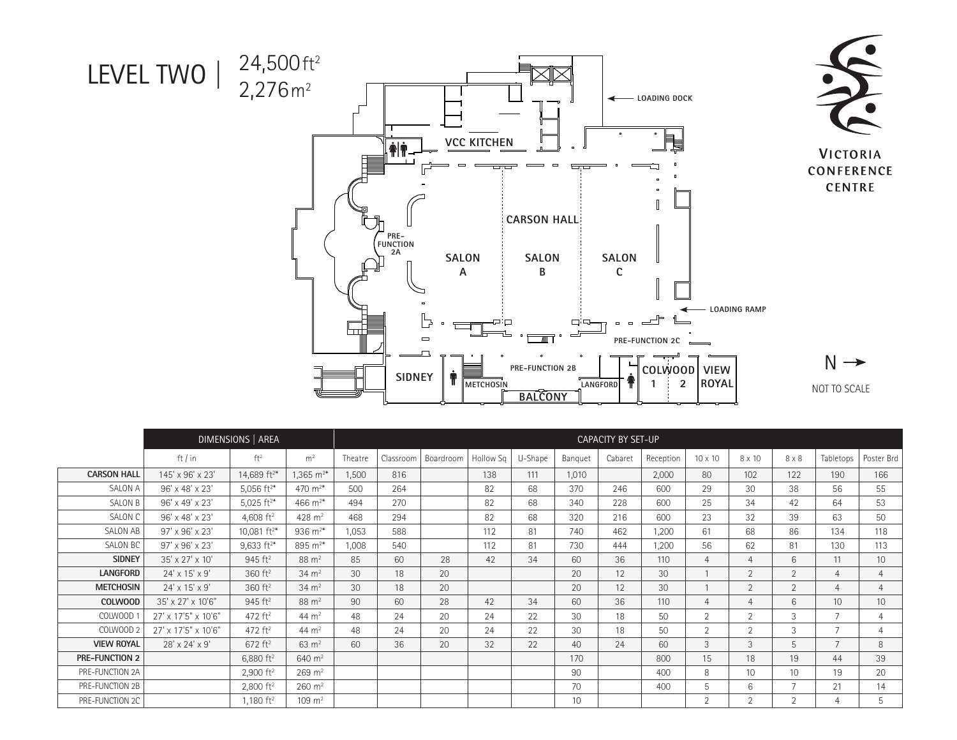

|                       | DIMENSIONS   AREA          | CAPACITY BY SET-UP       |                        |         |           |           |           |         |                  |         |           |                |                 |                  |                 |                 |
|-----------------------|----------------------------|--------------------------|------------------------|---------|-----------|-----------|-----------|---------|------------------|---------|-----------|----------------|-----------------|------------------|-----------------|-----------------|
|                       | ft / in                    | ft <sup>2</sup>          | m <sup>2</sup>         | Theatre | Classroom | Boardroom | Hollow Sq | U-Shape | Banquet          | Cabaret | Reception | 10 x 10        | 8 x 10          | $8 \times 8$     | Tabletops       | Poster Brd      |
| <b>CARSON HALL</b>    | 145' x 96' x 23'           | 14,689 $ft^{2*}$         | $1,365 \text{ m}^{2*}$ | 1,500   | 816       |           | 138       | 111     | 1,010            |         | 2,000     | 80             | 102             | 122              | 190             | 166             |
| <b>SALON A</b>        | 96' x 48' x 23'            | 5,056 $ft^{2*}$          | 470 $m^{2*}$           | 500     | 264       |           | 82        | 68      | 370              | 246     | 600       | 29             | 30              | 38               | 56              | 55              |
| <b>SALON B</b>        | 96' x 49' x 23'            | 5,025 $ft^{2*}$          | 466 $m^{2*}$           | 494     | 270       |           | 82        | 68      | 340              | 228     | 600       | 25             | 34              | 42               | 64              | 53              |
| SALON C               | 96' x 48' x 23'            | 4,608 $ft^2$             | 428 $m2$               | 468     | 294       |           | 82        | 68      | 320              | 216     | 600       | 23             | 32              | 39               | 63              | 50              |
| SALON AB              | 97' x 96' x 23'            | 10,081 ft <sup>2*</sup>  | 936 $m^{2*}$           | 1,053   | 588       |           | 112       | 81      | 740              | 462     | 1,200     | 61             | 68              | 86               | 134             | 118             |
| <b>SALON BC</b>       | 97' x 96' x 23'            | $9,633$ ft <sup>2*</sup> | 895 $m^{2*}$           | 1,008   | 540       |           | 112       | 81      | 730              | 444     | 1,200     | 56             | 62              | 81               | 130             | 113             |
| <b>SIDNEY</b>         | 35' x 27' x 10'            | $945 \text{ ft}^2$       | $88 \text{ m}^2$       | 85      | 60        | 28        | 42        | 34      | 60               | 36      | 110       | 4              | $\overline{4}$  | $6 \overline{6}$ | 11              | 10 <sup>1</sup> |
| <b>LANGFORD</b>       | $24' \times 15' \times 9'$ | 360 ft <sup>2</sup>      | $34 \text{ m}^2$       | 30      | 18        | 20        |           |         | 20               | 12      | 30        |                | 2               | 2                | $\overline{4}$  | 4               |
| <b>METCHOSIN</b>      | 24' x 15' x 9'             | 360 ft <sup>2</sup>      | $34 \text{ m}^2$       | 30      | 18        | 20        |           |         | 20               | 12      | 30        |                | 2               | $\overline{2}$   | $\overline{4}$  | $\overline{4}$  |
| <b>COLWOOD</b>        | 35' x 27' x 10'6"          | 945 ft <sup>2</sup>      | $88 \; \text{m}^2$     | 90      | 60        | 28        | 42        | 34      | 60               | 36      | 110       | 4              | 4               | 6                | 10 <sup>°</sup> | 10 <sup>°</sup> |
| <b>COLWOOD</b>        | 27' x 17'5" x 10'6"        | 472 ft <sup>2</sup>      | 44 $m2$                | 48      | 24        | 20        | 24        | 22      | 30               | 18      | 50        | 2              | 2               | 3                | $\overline{7}$  | 4               |
| COLWOOD 2             | 27' x 17'5" x 10'6"        | 472 $ft^2$               | 44 $m2$                | 48      | 24        | 20        | 24        | 22      | 30               | 18      | 50        | 2              | $\overline{2}$  | 3                | $\overline{ }$  | $\overline{4}$  |
| <b>VIEW ROYAL</b>     | $28' \times 24' \times 9'$ | $672 \text{ ft}^2$       | $63 \text{ m}^2$       | 60      | 36        | 20        | 32        | 22      | 40               | 24      | 60        | 3              | 3               | 5                | $\overline{7}$  | 8               |
| <b>PRE-FUNCTION 2</b> |                            | 6,880 $ft^2$             | 640 $m2$               |         |           |           |           |         | 170              |         | 800       | 15             | 18              | 19               | 44              | 39              |
| PRE-FUNCTION 2A       |                            | $2,900$ ft <sup>2</sup>  | $269 \; \text{m}^2$    |         |           |           |           |         | 90               |         | 400       | 8              | 10 <sup>°</sup> | 10 <sup>1</sup>  | 19              | 20              |
| PRE-FUNCTION 2B       |                            | 2,800 $ft^2$             | $260 \; \text{m}^2$    |         |           |           |           |         | 70               |         | 400       | 5              | 6               | $\overline{7}$   | 21              | 14              |
| PRE-FUNCTION 2C       |                            | 1.180 $ft^2$             | $109 \; \mathrm{m}^2$  |         |           |           |           |         | 10 <sup>10</sup> |         |           | $\overline{2}$ | $\overline{2}$  | 2                | 4               | 5               |